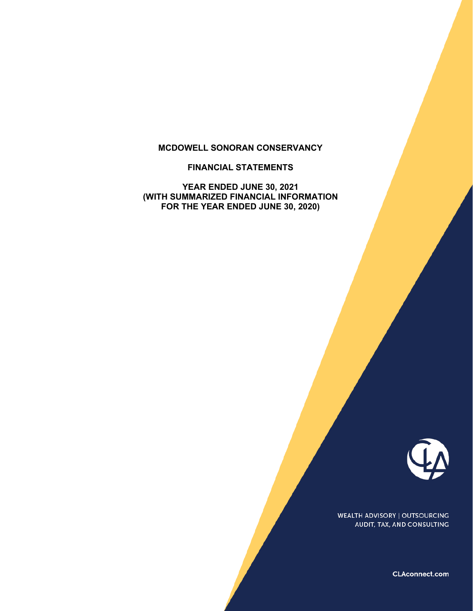# **MCDOWELL SONORAN CONSERVANCY**

### **FINANCIAL STATEMENTS**

**YEAR ENDED JUNE 30, 2021 (WITH SUMMARIZED FINANCIAL INFORMATION FOR THE YEAR ENDED JUNE 30, 2020)** 



**WEALTH ADVISORY | OUTSOURCING** AUDIT, TAX, AND CONSULTING

CLAconnect.com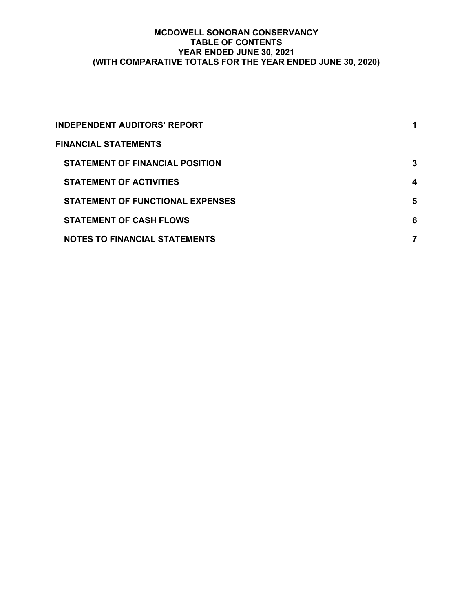### **MCDOWELL SONORAN CONSERVANCY TABLE OF CONTENTS YEAR ENDED JUNE 30, 2021 (WITH COMPARATIVE TOTALS FOR THE YEAR ENDED JUNE 30, 2020)**

| <b>INDEPENDENT AUDITORS' REPORT</b>     |   |
|-----------------------------------------|---|
| <b>FINANCIAL STATEMENTS</b>             |   |
| <b>STATEMENT OF FINANCIAL POSITION</b>  | 3 |
| <b>STATEMENT OF ACTIVITIES</b>          | 4 |
| <b>STATEMENT OF FUNCTIONAL EXPENSES</b> | 5 |
| <b>STATEMENT OF CASH FLOWS</b>          | 6 |
| <b>NOTES TO FINANCIAL STATEMENTS</b>    |   |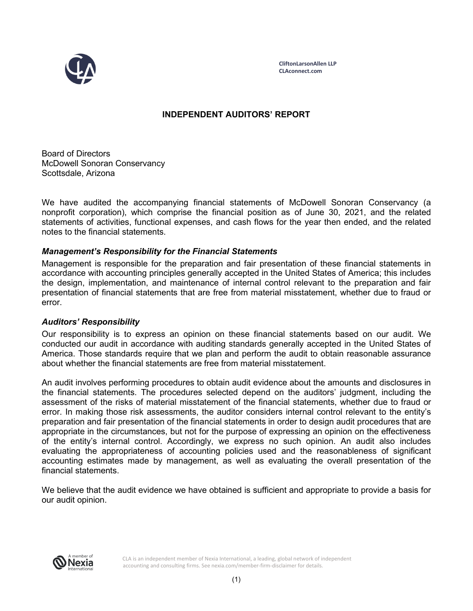

**CliftonLarsonAllen LLP CLAconnect.com**

# **INDEPENDENT AUDITORS' REPORT**

Board of Directors McDowell Sonoran Conservancy Scottsdale, Arizona

We have audited the accompanying financial statements of McDowell Sonoran Conservancy (a nonprofit corporation), which comprise the financial position as of June 30, 2021, and the related statements of activities, functional expenses, and cash flows for the year then ended, and the related notes to the financial statements.

# *Management's Responsibility for the Financial Statements*

Management is responsible for the preparation and fair presentation of these financial statements in accordance with accounting principles generally accepted in the United States of America; this includes the design, implementation, and maintenance of internal control relevant to the preparation and fair presentation of financial statements that are free from material misstatement, whether due to fraud or error.

# *Auditors' Responsibility*

Our responsibility is to express an opinion on these financial statements based on our audit. We conducted our audit in accordance with auditing standards generally accepted in the United States of America. Those standards require that we plan and perform the audit to obtain reasonable assurance about whether the financial statements are free from material misstatement.

An audit involves performing procedures to obtain audit evidence about the amounts and disclosures in the financial statements. The procedures selected depend on the auditors' judgment, including the assessment of the risks of material misstatement of the financial statements, whether due to fraud or error. In making those risk assessments, the auditor considers internal control relevant to the entity's preparation and fair presentation of the financial statements in order to design audit procedures that are appropriate in the circumstances, but not for the purpose of expressing an opinion on the effectiveness of the entity's internal control. Accordingly, we express no such opinion. An audit also includes evaluating the appropriateness of accounting policies used and the reasonableness of significant accounting estimates made by management, as well as evaluating the overall presentation of the financial statements.

We believe that the audit evidence we have obtained is sufficient and appropriate to provide a basis for our audit opinion.



CLA is an independent member of Nexia International, a leading, global network of independent accounting and consulting firms. See nexia.com/member-firm-disclaimer for details.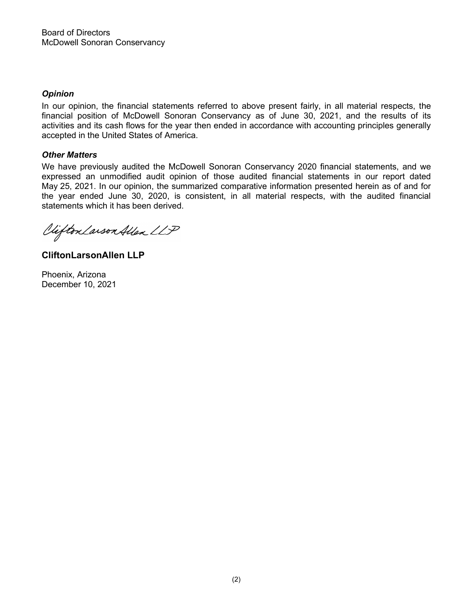# *Opinion*

In our opinion, the financial statements referred to above present fairly, in all material respects, the financial position of McDowell Sonoran Conservancy as of June 30, 2021, and the results of its activities and its cash flows for the year then ended in accordance with accounting principles generally accepted in the United States of America.

# *Other Matters*

We have previously audited the McDowell Sonoran Conservancy 2020 financial statements, and we expressed an unmodified audit opinion of those audited financial statements in our report dated May 25, 2021. In our opinion, the summarized comparative information presented herein as of and for the year ended June 30, 2020, is consistent, in all material respects, with the audited financial statements which it has been derived.

Vifton Larson Allen LLP

**CliftonLarsonAllen LLP**

Phoenix, Arizona December 10, 2021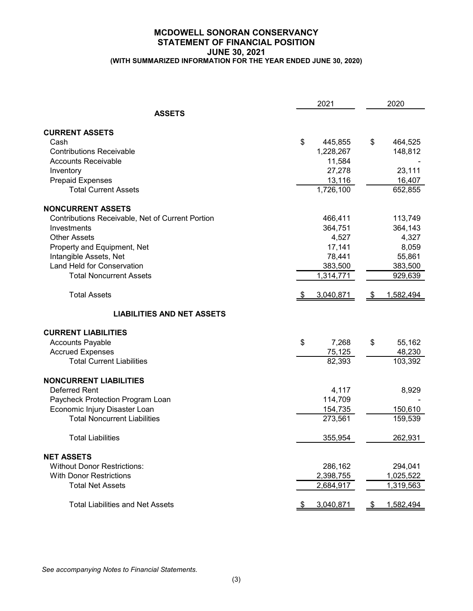#### **MCDOWELL SONORAN CONSERVANCY STATEMENT OF FINANCIAL POSITION JUNE 30, 2021 (WITH SUMMARIZED INFORMATION FOR THE YEAR ENDED JUNE 30, 2020)**

|                                                  | 2021                | 2020              |
|--------------------------------------------------|---------------------|-------------------|
| <b>ASSETS</b>                                    |                     |                   |
| <b>CURRENT ASSETS</b>                            |                     |                   |
| Cash                                             | \$<br>445,855       | \$<br>464,525     |
| <b>Contributions Receivable</b>                  | 1,228,267           | 148,812           |
| <b>Accounts Receivable</b>                       | 11,584              |                   |
| Inventory                                        | 27,278              | 23,111            |
| <b>Prepaid Expenses</b>                          | 13,116              | 16,407            |
| <b>Total Current Assets</b>                      | 1,726,100           | 652,855           |
| <b>NONCURRENT ASSETS</b>                         |                     |                   |
| Contributions Receivable, Net of Current Portion | 466,411             | 113,749           |
| Investments                                      | 364,751             | 364,143           |
| <b>Other Assets</b>                              | 4,527               | 4,327             |
| Property and Equipment, Net                      | 17,141              | 8,059             |
| Intangible Assets, Net                           | 78,441              | 55,861            |
| Land Held for Conservation                       | 383,500             | 383,500           |
| <b>Total Noncurrent Assets</b>                   | 1,314,771           | 929,639           |
| <b>Total Assets</b>                              | 3,040,871           | 1,582,494<br>- \$ |
| <b>LIABILITIES AND NET ASSETS</b>                |                     |                   |
| <b>CURRENT LIABILITIES</b>                       |                     |                   |
| <b>Accounts Payable</b>                          | \$<br>7,268         | \$<br>55,162      |
| <b>Accrued Expenses</b>                          | 75,125              | 48,230            |
| <b>Total Current Liabilities</b>                 | 82,393              | 103,392           |
| <b>NONCURRENT LIABILITIES</b>                    |                     |                   |
| Deferred Rent                                    | 4,117               | 8,929             |
| Paycheck Protection Program Loan                 | 114,709             |                   |
| Economic Injury Disaster Loan                    | 154,735             | 150,610           |
| <b>Total Noncurrent Liabilities</b>              | 273,561             | 159,539           |
| <b>Total Liabilities</b>                         | 355,954             | 262,931           |
| <b>NET ASSETS</b>                                |                     |                   |
| <b>Without Donor Restrictions:</b>               | 286,162             | 294,041           |
| <b>With Donor Restrictions</b>                   | 2,398,755           | 1,025,522         |
| <b>Total Net Assets</b>                          | 2,684,917           | 1,319,563         |
| <b>Total Liabilities and Net Assets</b>          | 3,040,871<br>$\phi$ | 1,582,494<br>\$   |

*See accompanying Notes to Financial Statements.*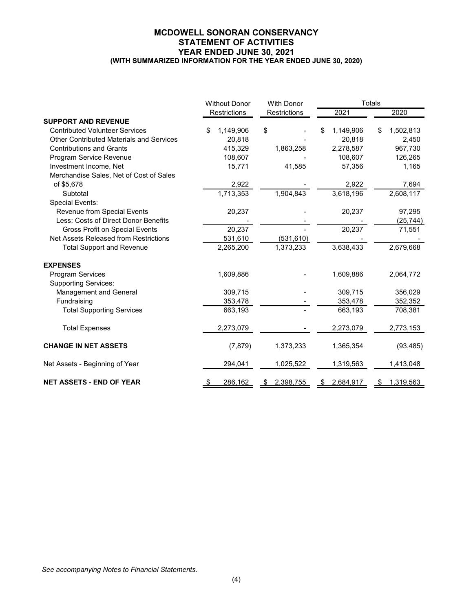#### **MCDOWELL SONORAN CONSERVANCY STATEMENT OF ACTIVITIES YEAR ENDED JUNE 30, 2021 (WITH SUMMARIZED INFORMATION FOR THE YEAR ENDED JUNE 30, 2020)**

|                                                 | <b>Without Donor</b> | <b>With Donor</b> |                 | <b>Totals</b>   |  |  |
|-------------------------------------------------|----------------------|-------------------|-----------------|-----------------|--|--|
|                                                 | Restrictions         | Restrictions      | 2021            | 2020            |  |  |
| <b>SUPPORT AND REVENUE</b>                      |                      |                   |                 |                 |  |  |
| <b>Contributed Volunteer Services</b>           | 1,149,906<br>\$      | \$                | 1,149,906<br>\$ | 1,502,813<br>\$ |  |  |
| <b>Other Contributed Materials and Services</b> | 20,818               |                   | 20,818          | 2,450           |  |  |
| <b>Contributions and Grants</b>                 | 415,329              | 1,863,258         | 2,278,587       | 967,730         |  |  |
| Program Service Revenue                         | 108,607              |                   | 108,607         | 126,265         |  |  |
| Investment Income, Net                          | 15,771               | 41,585            | 57,356          | 1,165           |  |  |
| Merchandise Sales, Net of Cost of Sales         |                      |                   |                 |                 |  |  |
| of \$5,678                                      | 2,922                |                   | 2,922           | 7,694           |  |  |
| Subtotal                                        | 1,713,353            | 1,904,843         | 3,618,196       | 2,608,117       |  |  |
| <b>Special Events:</b>                          |                      |                   |                 |                 |  |  |
| Revenue from Special Events                     | 20,237               |                   | 20,237          | 97,295          |  |  |
| Less: Costs of Direct Donor Benefits            |                      |                   |                 | (25, 744)       |  |  |
| <b>Gross Profit on Special Events</b>           | 20,237               |                   | 20,237          | 71,551          |  |  |
| Net Assets Released from Restrictions           | 531,610              | (531, 610)        |                 |                 |  |  |
| <b>Total Support and Revenue</b>                | 2,265,200            | 1,373,233         | 3,638,433       | 2,679,668       |  |  |
| <b>EXPENSES</b>                                 |                      |                   |                 |                 |  |  |
| Program Services                                | 1,609,886            |                   | 1,609,886       | 2,064,772       |  |  |
| <b>Supporting Services:</b>                     |                      |                   |                 |                 |  |  |
| Management and General                          | 309,715              |                   | 309,715         | 356,029         |  |  |
| Fundraising                                     | 353,478              |                   | 353,478         | 352,352         |  |  |
| <b>Total Supporting Services</b>                | 663,193              |                   | 663,193         | 708,381         |  |  |
| <b>Total Expenses</b>                           | 2,273,079            |                   | 2,273,079       | 2,773,153       |  |  |
| <b>CHANGE IN NET ASSETS</b>                     | (7, 879)             | 1,373,233         | 1,365,354       | (93, 485)       |  |  |
| Net Assets - Beginning of Year                  | 294,041              | 1,025,522         | 1,319,563       | 1,413,048       |  |  |
| <b>NET ASSETS - END OF YEAR</b>                 | 286,162<br>- \$      | 2,398,755<br>\$   | 2,684,917<br>\$ | \$1,319,563     |  |  |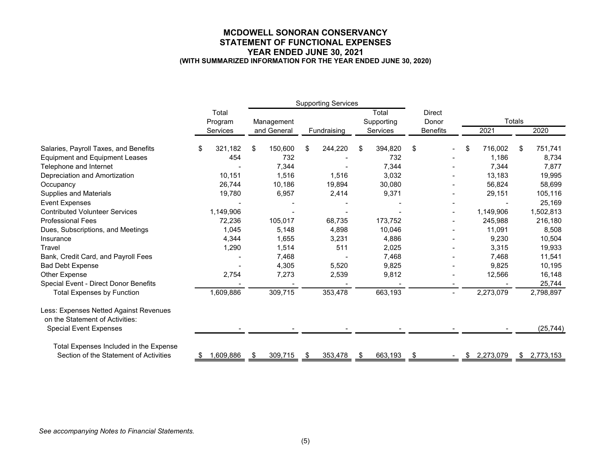#### **MCDOWELL SONORAN CONSERVANCY STATEMENT OF FUNCTIONAL EXPENSES YEAR ENDED JUNE 30, 2021 (WITH SUMMARIZED INFORMATION FOR THE YEAR ENDED JUNE 30, 2020)**

|                                        |       |                     |    | <b>Supporting Services</b> |    |             |      |                 |    |                 |     |             |               |             |
|----------------------------------------|-------|---------------------|----|----------------------------|----|-------------|------|-----------------|----|-----------------|-----|-------------|---------------|-------------|
|                                        | Total |                     |    |                            |    |             |      | Total           |    | <b>Direct</b>   |     |             |               |             |
|                                        |       | Program<br>Services |    | Management                 |    |             |      | Supporting      |    | Donor           |     |             | <b>Totals</b> |             |
|                                        |       |                     |    | and General                |    | Fundraising |      | <b>Services</b> |    | <b>Benefits</b> |     | 2021        |               | 2020        |
| Salaries, Payroll Taxes, and Benefits  | \$.   | 321,182             | \$ | 150,600                    | \$ | 244,220     | \$   | 394,820         | \$ |                 | \$. | 716,002     | \$            | 751,741     |
| <b>Equipment and Equipment Leases</b>  |       | 454                 |    | 732                        |    |             |      | 732             |    |                 |     | 1,186       |               | 8,734       |
| Telephone and Internet                 |       |                     |    | 7,344                      |    |             |      | 7,344           |    |                 |     | 7,344       |               | 7,877       |
| Depreciation and Amortization          |       | 10,151              |    | 1,516                      |    | 1,516       |      | 3,032           |    |                 |     | 13,183      |               | 19,995      |
| Occupancy                              |       | 26,744              |    | 10,186                     |    | 19,894      |      | 30,080          |    |                 |     | 56,824      |               | 58,699      |
| <b>Supplies and Materials</b>          |       | 19,780              |    | 6,957                      |    | 2,414       |      | 9,371           |    |                 |     | 29,151      |               | 105,116     |
| <b>Event Expenses</b>                  |       |                     |    |                            |    |             |      |                 |    |                 |     |             |               | 25,169      |
| <b>Contributed Volunteer Services</b>  |       | 1,149,906           |    |                            |    |             |      |                 |    |                 |     | 1,149,906   |               | 1,502,813   |
| <b>Professional Fees</b>               |       | 72,236              |    | 105,017                    |    | 68,735      |      | 173,752         |    |                 |     | 245,988     |               | 216,180     |
| Dues, Subscriptions, and Meetings      |       | 1,045               |    | 5,148                      |    | 4,898       |      | 10,046          |    |                 |     | 11,091      |               | 8,508       |
| Insurance                              |       | 4,344               |    | 1,655                      |    | 3,231       |      | 4,886           |    |                 |     | 9,230       |               | 10,504      |
| Travel                                 |       | 1,290               |    | 1,514                      |    | 511         |      | 2,025           |    |                 |     | 3,315       |               | 19,933      |
| Bank, Credit Card, and Payroll Fees    |       |                     |    | 7,468                      |    |             |      | 7,468           |    |                 |     | 7,468       |               | 11,541      |
| <b>Bad Debt Expense</b>                |       |                     |    | 4,305                      |    | 5,520       |      | 9,825           |    |                 |     | 9,825       |               | 10,195      |
| <b>Other Expense</b>                   |       | 2,754               |    | 7,273                      |    | 2,539       |      | 9,812           |    |                 |     | 12,566      |               | 16,148      |
| Special Event - Direct Donor Benefits  |       |                     |    |                            |    |             |      |                 |    |                 |     |             |               | 25,744      |
| <b>Total Expenses by Function</b>      |       | 1,609,886           |    | 309,715                    |    | 353,478     |      | 663,193         |    |                 |     | 2,273,079   |               | 2,798,897   |
| Less: Expenses Netted Against Revenues |       |                     |    |                            |    |             |      |                 |    |                 |     |             |               |             |
| on the Statement of Activities:        |       |                     |    |                            |    |             |      |                 |    |                 |     |             |               |             |
| <b>Special Event Expenses</b>          |       |                     |    |                            |    |             |      |                 |    |                 |     |             |               | (25, 744)   |
| Total Expenses Included in the Expense |       |                     |    |                            |    |             |      |                 |    |                 |     |             |               |             |
| Section of the Statement of Activities |       | 1,609,886           | \$ | 309,715                    |    | 353,478     | - \$ | 663,193         |    |                 |     | \$2,273,079 |               | \$2,773,153 |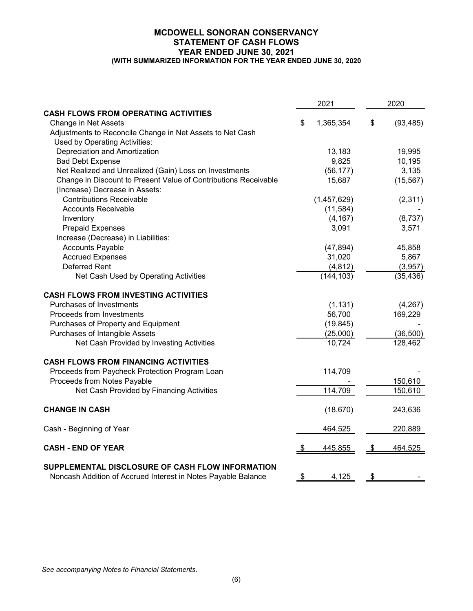#### **MCDOWELL SONORAN CONSERVANCY STATEMENT OF CASH FLOWS YEAR ENDED JUNE 30, 2021 (WITH SUMMARIZED INFORMATION FOR THE YEAR ENDED JUNE 30, 2020**

|                                                                                                                   | 2021          |             | 2020 |           |
|-------------------------------------------------------------------------------------------------------------------|---------------|-------------|------|-----------|
| <b>CASH FLOWS FROM OPERATING ACTIVITIES</b>                                                                       |               |             |      |           |
| Change in Net Assets                                                                                              | \$            | 1,365,354   | \$   | (93, 485) |
| Adjustments to Reconcile Change in Net Assets to Net Cash                                                         |               |             |      |           |
| Used by Operating Activities:                                                                                     |               |             |      |           |
| Depreciation and Amortization                                                                                     |               | 13,183      |      | 19,995    |
| <b>Bad Debt Expense</b>                                                                                           |               | 9,825       |      | 10,195    |
| Net Realized and Unrealized (Gain) Loss on Investments                                                            |               | (56, 177)   |      | 3,135     |
| Change in Discount to Present Value of Contributions Receivable                                                   |               | 15,687      |      | (15, 567) |
| (Increase) Decrease in Assets:                                                                                    |               |             |      |           |
| <b>Contributions Receivable</b>                                                                                   |               | (1,457,629) |      | (2, 311)  |
| <b>Accounts Receivable</b>                                                                                        |               | (11, 584)   |      |           |
| Inventory                                                                                                         |               | (4, 167)    |      | (8,737)   |
| <b>Prepaid Expenses</b>                                                                                           |               | 3,091       |      | 3,571     |
| Increase (Decrease) in Liabilities:                                                                               |               |             |      |           |
| <b>Accounts Payable</b>                                                                                           |               | (47, 894)   |      | 45,858    |
| <b>Accrued Expenses</b>                                                                                           |               | 31,020      |      | 5,867     |
| <b>Deferred Rent</b>                                                                                              |               | (4, 812)    |      | (3,957)   |
| Net Cash Used by Operating Activities                                                                             |               | (144, 103)  |      | (35, 436) |
| <b>CASH FLOWS FROM INVESTING ACTIVITIES</b>                                                                       |               |             |      |           |
| Purchases of Investments                                                                                          |               | (1, 131)    |      | (4,267)   |
| Proceeds from Investments                                                                                         |               | 56,700      |      | 169,229   |
| Purchases of Property and Equipment                                                                               |               | (19, 845)   |      |           |
| Purchases of Intangible Assets                                                                                    |               | (25,000)    |      | (36, 500) |
| Net Cash Provided by Investing Activities                                                                         |               | 10,724      |      | 128,462   |
| <b>CASH FLOWS FROM FINANCING ACTIVITIES</b>                                                                       |               |             |      |           |
| Proceeds from Paycheck Protection Program Loan                                                                    |               | 114,709     |      |           |
| Proceeds from Notes Payable                                                                                       |               |             |      | 150,610   |
| Net Cash Provided by Financing Activities                                                                         |               | 114,709     |      | 150,610   |
| <b>CHANGE IN CASH</b>                                                                                             |               | (18, 670)   |      | 243,636   |
| Cash - Beginning of Year                                                                                          |               | 464,525     |      | 220,889   |
| <b>CASH - END OF YEAR</b>                                                                                         | $\frac{3}{2}$ | 445,855     | -\$  | 464,525   |
| SUPPLEMENTAL DISCLOSURE OF CASH FLOW INFORMATION<br>Noncash Addition of Accrued Interest in Notes Payable Balance | $\frac{1}{2}$ | 4,125       | \$   |           |

*See accompanying Notes to Financial Statements.*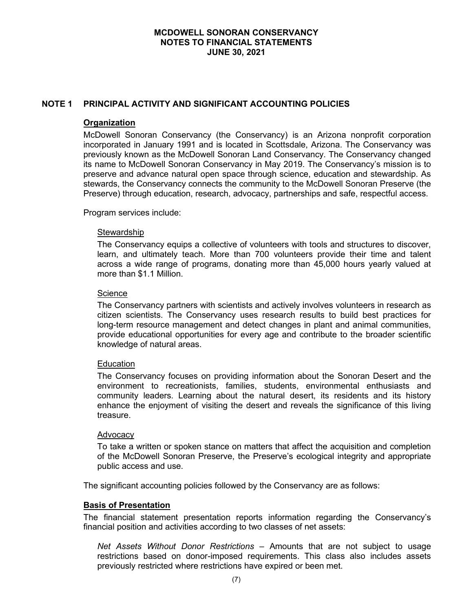# **NOTE 1 PRINCIPAL ACTIVITY AND SIGNIFICANT ACCOUNTING POLICIES**

#### **Organization**

McDowell Sonoran Conservancy (the Conservancy) is an Arizona nonprofit corporation incorporated in January 1991 and is located in Scottsdale, Arizona. The Conservancy was previously known as the McDowell Sonoran Land Conservancy. The Conservancy changed its name to McDowell Sonoran Conservancy in May 2019. The Conservancy's mission is to preserve and advance natural open space through science, education and stewardship. As stewards, the Conservancy connects the community to the McDowell Sonoran Preserve (the Preserve) through education, research, advocacy, partnerships and safe, respectful access.

Program services include:

#### **Stewardship**

The Conservancy equips a collective of volunteers with tools and structures to discover, learn, and ultimately teach. More than 700 volunteers provide their time and talent across a wide range of programs, donating more than 45,000 hours yearly valued at more than \$1.1 Million.

### **Science**

The Conservancy partners with scientists and actively involves volunteers in research as citizen scientists. The Conservancy uses research results to build best practices for long-term resource management and detect changes in plant and animal communities, provide educational opportunities for every age and contribute to the broader scientific knowledge of natural areas.

# **Education**

The Conservancy focuses on providing information about the Sonoran Desert and the environment to recreationists, families, students, environmental enthusiasts and community leaders. Learning about the natural desert, its residents and its history enhance the enjoyment of visiting the desert and reveals the significance of this living treasure.

#### **Advocacy**

To take a written or spoken stance on matters that affect the acquisition and completion of the McDowell Sonoran Preserve, the Preserve's ecological integrity and appropriate public access and use.

The significant accounting policies followed by the Conservancy are as follows:

# **Basis of Presentation**

The financial statement presentation reports information regarding the Conservancy's financial position and activities according to two classes of net assets:

*Net Assets Without Donor Restrictions* – Amounts that are not subject to usage restrictions based on donor-imposed requirements. This class also includes assets previously restricted where restrictions have expired or been met.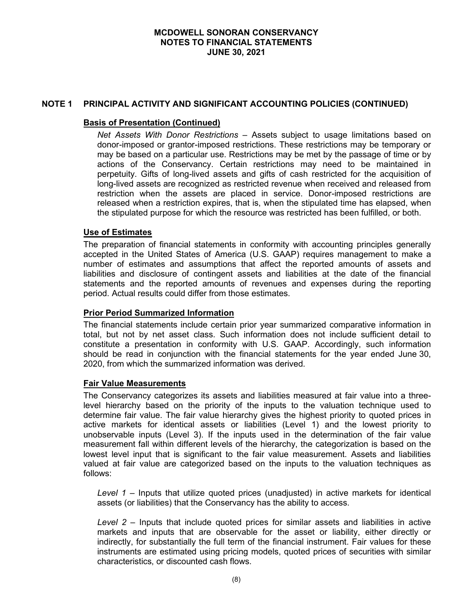# **NOTE 1 PRINCIPAL ACTIVITY AND SIGNIFICANT ACCOUNTING POLICIES (CONTINUED)**

# **Basis of Presentation (Continued)**

*Net Assets With Donor Restrictions* – Assets subject to usage limitations based on donor-imposed or grantor-imposed restrictions. These restrictions may be temporary or may be based on a particular use. Restrictions may be met by the passage of time or by actions of the Conservancy. Certain restrictions may need to be maintained in perpetuity. Gifts of long-lived assets and gifts of cash restricted for the acquisition of long-lived assets are recognized as restricted revenue when received and released from restriction when the assets are placed in service. Donor-imposed restrictions are released when a restriction expires, that is, when the stipulated time has elapsed, when the stipulated purpose for which the resource was restricted has been fulfilled, or both.

# **Use of Estimates**

The preparation of financial statements in conformity with accounting principles generally accepted in the United States of America (U.S. GAAP) requires management to make a number of estimates and assumptions that affect the reported amounts of assets and liabilities and disclosure of contingent assets and liabilities at the date of the financial statements and the reported amounts of revenues and expenses during the reporting period. Actual results could differ from those estimates.

# **Prior Period Summarized Information**

The financial statements include certain prior year summarized comparative information in total, but not by net asset class. Such information does not include sufficient detail to constitute a presentation in conformity with U.S. GAAP. Accordingly, such information should be read in conjunction with the financial statements for the year ended June 30, 2020, from which the summarized information was derived.

# **Fair Value Measurements**

The Conservancy categorizes its assets and liabilities measured at fair value into a threelevel hierarchy based on the priority of the inputs to the valuation technique used to determine fair value. The fair value hierarchy gives the highest priority to quoted prices in active markets for identical assets or liabilities (Level 1) and the lowest priority to unobservable inputs (Level 3). If the inputs used in the determination of the fair value measurement fall within different levels of the hierarchy, the categorization is based on the lowest level input that is significant to the fair value measurement. Assets and liabilities valued at fair value are categorized based on the inputs to the valuation techniques as follows:

*Level 1* – Inputs that utilize quoted prices (unadjusted) in active markets for identical assets (or liabilities) that the Conservancy has the ability to access.

*Level 2 –* Inputs that include quoted prices for similar assets and liabilities in active markets and inputs that are observable for the asset or liability, either directly or indirectly, for substantially the full term of the financial instrument. Fair values for these instruments are estimated using pricing models, quoted prices of securities with similar characteristics, or discounted cash flows.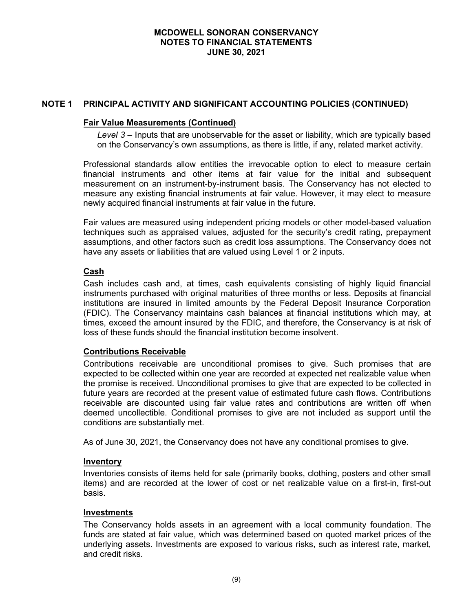# **NOTE 1 PRINCIPAL ACTIVITY AND SIGNIFICANT ACCOUNTING POLICIES (CONTINUED)**

### **Fair Value Measurements (Continued)**

*Level 3* – Inputs that are unobservable for the asset or liability, which are typically based on the Conservancy's own assumptions, as there is little, if any, related market activity.

Professional standards allow entities the irrevocable option to elect to measure certain financial instruments and other items at fair value for the initial and subsequent measurement on an instrument-by-instrument basis. The Conservancy has not elected to measure any existing financial instruments at fair value. However, it may elect to measure newly acquired financial instruments at fair value in the future.

Fair values are measured using independent pricing models or other model-based valuation techniques such as appraised values, adjusted for the security's credit rating, prepayment assumptions, and other factors such as credit loss assumptions. The Conservancy does not have any assets or liabilities that are valued using Level 1 or 2 inputs.

# **Cash**

Cash includes cash and, at times, cash equivalents consisting of highly liquid financial instruments purchased with original maturities of three months or less. Deposits at financial institutions are insured in limited amounts by the Federal Deposit Insurance Corporation (FDIC). The Conservancy maintains cash balances at financial institutions which may, at times, exceed the amount insured by the FDIC, and therefore, the Conservancy is at risk of loss of these funds should the financial institution become insolvent.

# **Contributions Receivable**

Contributions receivable are unconditional promises to give. Such promises that are expected to be collected within one year are recorded at expected net realizable value when the promise is received. Unconditional promises to give that are expected to be collected in future years are recorded at the present value of estimated future cash flows. Contributions receivable are discounted using fair value rates and contributions are written off when deemed uncollectible. Conditional promises to give are not included as support until the conditions are substantially met.

As of June 30, 2021, the Conservancy does not have any conditional promises to give.

#### **Inventory**

Inventories consists of items held for sale (primarily books, clothing, posters and other small items) and are recorded at the lower of cost or net realizable value on a first-in, first-out basis.

# **Investments**

The Conservancy holds assets in an agreement with a local community foundation. The funds are stated at fair value, which was determined based on quoted market prices of the underlying assets. Investments are exposed to various risks, such as interest rate, market, and credit risks.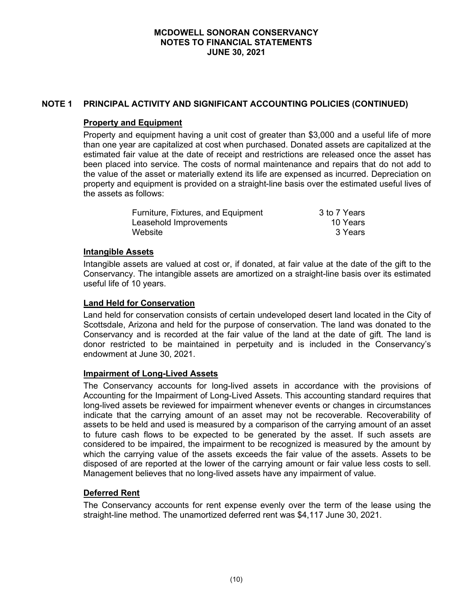# **NOTE 1 PRINCIPAL ACTIVITY AND SIGNIFICANT ACCOUNTING POLICIES (CONTINUED)**

# **Property and Equipment**

Property and equipment having a unit cost of greater than \$3,000 and a useful life of more than one year are capitalized at cost when purchased. Donated assets are capitalized at the estimated fair value at the date of receipt and restrictions are released once the asset has been placed into service. The costs of normal maintenance and repairs that do not add to the value of the asset or materially extend its life are expensed as incurred. Depreciation on property and equipment is provided on a straight-line basis over the estimated useful lives of the assets as follows:

| Furniture, Fixtures, and Equipment | 3 to 7 Years |
|------------------------------------|--------------|
| Leasehold Improvements             | 10 Years     |
| Website                            | 3 Years      |

### **Intangible Assets**

Intangible assets are valued at cost or, if donated, at fair value at the date of the gift to the Conservancy. The intangible assets are amortized on a straight-line basis over its estimated useful life of 10 years.

### **Land Held for Conservation**

Land held for conservation consists of certain undeveloped desert land located in the City of Scottsdale, Arizona and held for the purpose of conservation. The land was donated to the Conservancy and is recorded at the fair value of the land at the date of gift. The land is donor restricted to be maintained in perpetuity and is included in the Conservancy's endowment at June 30, 2021.

#### **Impairment of Long-Lived Assets**

The Conservancy accounts for long-lived assets in accordance with the provisions of Accounting for the Impairment of Long-Lived Assets. This accounting standard requires that long-lived assets be reviewed for impairment whenever events or changes in circumstances indicate that the carrying amount of an asset may not be recoverable. Recoverability of assets to be held and used is measured by a comparison of the carrying amount of an asset to future cash flows to be expected to be generated by the asset. If such assets are considered to be impaired, the impairment to be recognized is measured by the amount by which the carrying value of the assets exceeds the fair value of the assets. Assets to be disposed of are reported at the lower of the carrying amount or fair value less costs to sell. Management believes that no long-lived assets have any impairment of value.

# **Deferred Rent**

The Conservancy accounts for rent expense evenly over the term of the lease using the straight-line method. The unamortized deferred rent was \$4,117 June 30, 2021.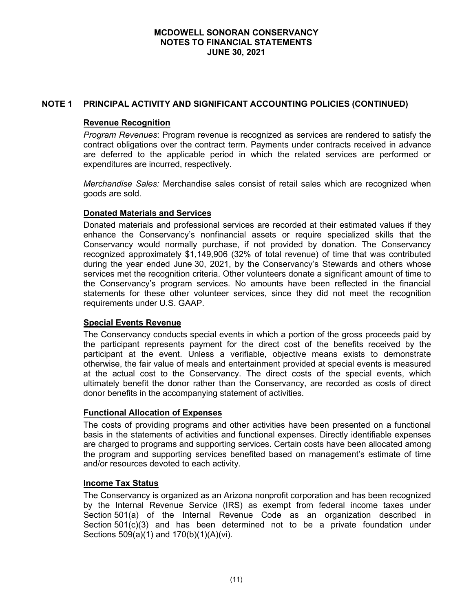# **NOTE 1 PRINCIPAL ACTIVITY AND SIGNIFICANT ACCOUNTING POLICIES (CONTINUED)**

# **Revenue Recognition**

*Program Revenues*: Program revenue is recognized as services are rendered to satisfy the contract obligations over the contract term. Payments under contracts received in advance are deferred to the applicable period in which the related services are performed or expenditures are incurred, respectively.

*Merchandise Sales:* Merchandise sales consist of retail sales which are recognized when goods are sold.

### **Donated Materials and Services**

Donated materials and professional services are recorded at their estimated values if they enhance the Conservancy's nonfinancial assets or require specialized skills that the Conservancy would normally purchase, if not provided by donation. The Conservancy recognized approximately \$1,149,906 (32% of total revenue) of time that was contributed during the year ended June 30, 2021, by the Conservancy's Stewards and others whose services met the recognition criteria. Other volunteers donate a significant amount of time to the Conservancy's program services. No amounts have been reflected in the financial statements for these other volunteer services, since they did not meet the recognition requirements under U.S. GAAP.

# **Special Events Revenue**

The Conservancy conducts special events in which a portion of the gross proceeds paid by the participant represents payment for the direct cost of the benefits received by the participant at the event. Unless a verifiable, objective means exists to demonstrate otherwise, the fair value of meals and entertainment provided at special events is measured at the actual cost to the Conservancy. The direct costs of the special events, which ultimately benefit the donor rather than the Conservancy, are recorded as costs of direct donor benefits in the accompanying statement of activities.

# **Functional Allocation of Expenses**

The costs of providing programs and other activities have been presented on a functional basis in the statements of activities and functional expenses. Directly identifiable expenses are charged to programs and supporting services. Certain costs have been allocated among the program and supporting services benefited based on management's estimate of time and/or resources devoted to each activity.

### **Income Tax Status**

The Conservancy is organized as an Arizona nonprofit corporation and has been recognized by the Internal Revenue Service (IRS) as exempt from federal income taxes under Section 501(a) of the Internal Revenue Code as an organization described in Section 501(c)(3) and has been determined not to be a private foundation under Sections 509(a)(1) and 170(b)(1)(A)(vi).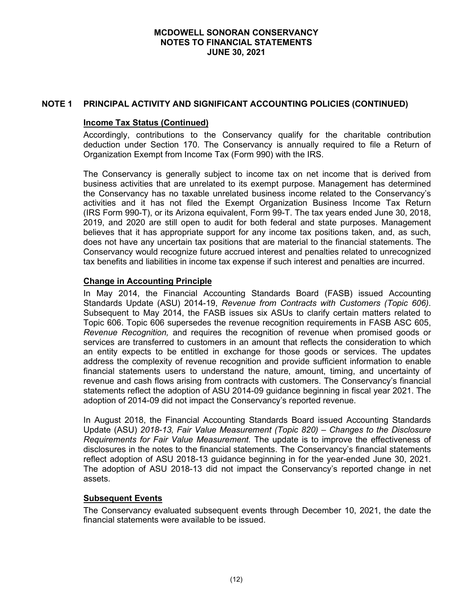# **NOTE 1 PRINCIPAL ACTIVITY AND SIGNIFICANT ACCOUNTING POLICIES (CONTINUED)**

# **Income Tax Status (Continued)**

Accordingly, contributions to the Conservancy qualify for the charitable contribution deduction under Section 170. The Conservancy is annually required to file a Return of Organization Exempt from Income Tax (Form 990) with the IRS.

The Conservancy is generally subject to income tax on net income that is derived from business activities that are unrelated to its exempt purpose. Management has determined the Conservancy has no taxable unrelated business income related to the Conservancy's activities and it has not filed the Exempt Organization Business Income Tax Return (IRS Form 990-T), or its Arizona equivalent, Form 99-T. The tax years ended June 30, 2018, 2019, and 2020 are still open to audit for both federal and state purposes. Management believes that it has appropriate support for any income tax positions taken, and, as such, does not have any uncertain tax positions that are material to the financial statements. The Conservancy would recognize future accrued interest and penalties related to unrecognized tax benefits and liabilities in income tax expense if such interest and penalties are incurred.

### **Change in Accounting Principle**

In May 2014, the Financial Accounting Standards Board (FASB) issued Accounting Standards Update (ASU) 2014-19, *Revenue from Contracts with Customers (Topic 606)*. Subsequent to May 2014, the FASB issues six ASUs to clarify certain matters related to Topic 606. Topic 606 supersedes the revenue recognition requirements in FASB ASC 605, *Revenue Recognition,* and requires the recognition of revenue when promised goods or services are transferred to customers in an amount that reflects the consideration to which an entity expects to be entitled in exchange for those goods or services. The updates address the complexity of revenue recognition and provide sufficient information to enable financial statements users to understand the nature, amount, timing, and uncertainty of revenue and cash flows arising from contracts with customers. The Conservancy's financial statements reflect the adoption of ASU 2014-09 guidance beginning in fiscal year 2021. The adoption of 2014-09 did not impact the Conservancy's reported revenue.

In August 2018, the Financial Accounting Standards Board issued Accounting Standards Update (ASU) *2018-13, Fair Value Measurement (Topic 820) – Changes to the Disclosure Requirements for Fair Value Measurement.* The update is to improve the effectiveness of disclosures in the notes to the financial statements. The Conservancy's financial statements reflect adoption of ASU 2018-13 guidance beginning in for the year-ended June 30, 2021. The adoption of ASU 2018-13 did not impact the Conservancy's reported change in net assets.

# **Subsequent Events**

The Conservancy evaluated subsequent events through December 10, 2021, the date the financial statements were available to be issued.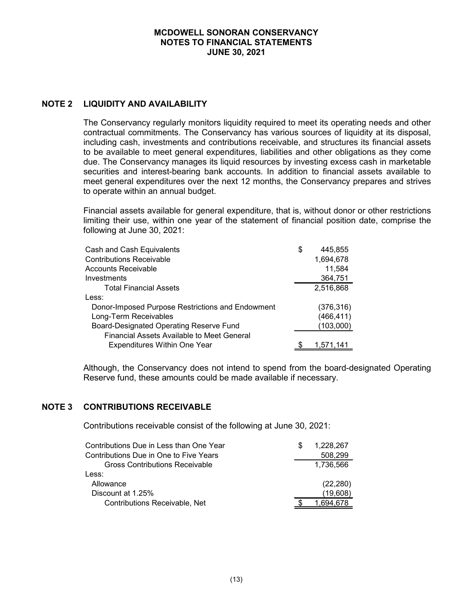# **NOTE 2 LIQUIDITY AND AVAILABILITY**

The Conservancy regularly monitors liquidity required to meet its operating needs and other contractual commitments. The Conservancy has various sources of liquidity at its disposal, including cash, investments and contributions receivable, and structures its financial assets to be available to meet general expenditures, liabilities and other obligations as they come due. The Conservancy manages its liquid resources by investing excess cash in marketable securities and interest-bearing bank accounts. In addition to financial assets available to meet general expenditures over the next 12 months, the Conservancy prepares and strives to operate within an annual budget.

Financial assets available for general expenditure, that is, without donor or other restrictions limiting their use, within one year of the statement of financial position date, comprise the following at June 30, 2021:

| Cash and Cash Equivalents                         | \$<br>445,855 |
|---------------------------------------------------|---------------|
| <b>Contributions Receivable</b>                   | 1,694,678     |
| Accounts Receivable                               | 11,584        |
| Investments                                       | 364,751       |
| <b>Total Financial Assets</b>                     | 2,516,868     |
| Less:                                             |               |
| Donor-Imposed Purpose Restrictions and Endowment  | (376, 316)    |
| Long-Term Receivables                             | (466, 411)    |
| Board-Designated Operating Reserve Fund           | (103,000)     |
| <b>Financial Assets Available to Meet General</b> |               |
| <b>Expenditures Within One Year</b>               | 1,571,141     |

Although, the Conservancy does not intend to spend from the board-designated Operating Reserve fund, these amounts could be made available if necessary.

#### **NOTE 3 CONTRIBUTIONS RECEIVABLE**

Contributions receivable consist of the following at June 30, 2021:

| Contributions Due in Less than One Year | S | 1.228.267 |
|-----------------------------------------|---|-----------|
| Contributions Due in One to Five Years  |   | 508,299   |
| <b>Gross Contributions Receivable</b>   |   | 1,736,566 |
| Less:                                   |   |           |
| Allowance                               |   | (22, 280) |
| Discount at 1.25%                       |   | (19,608)  |
| Contributions Receivable, Net           |   |           |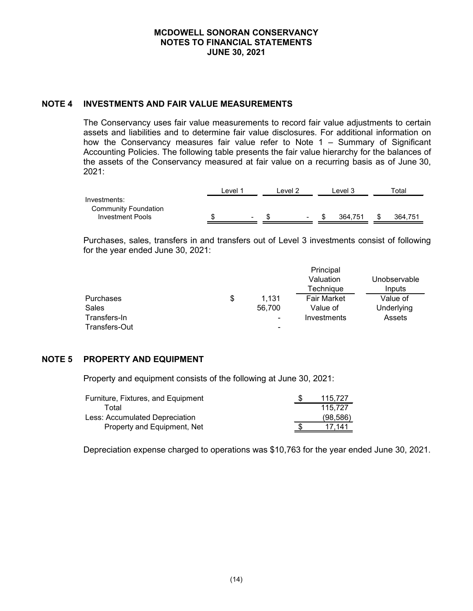### **NOTE 4 INVESTMENTS AND FAIR VALUE MEASUREMENTS**

The Conservancy uses fair value measurements to record fair value adjustments to certain assets and liabilities and to determine fair value disclosures. For additional information on how the Conservancy measures fair value refer to Note 1 – Summary of Significant Accounting Policies. The following table presents the fair value hierarchy for the balances of the assets of the Conservancy measured at fair value on a recurring basis as of June 30, 2021:

|                             | evel |                 | . evel 2 |   | ∟evel 3 | ™otal   |
|-----------------------------|------|-----------------|----------|---|---------|---------|
| Investments:                |      |                 |          |   |         |         |
| <b>Community Foundation</b> |      |                 |          |   |         |         |
| Investment Pools            |      | $\qquad \qquad$ |          | - | 364.751 | 364.751 |

Purchases, sales, transfers in and transfers out of Level 3 investments consist of following for the year ended June 30, 2021:

|                  |                | Principal          |              |
|------------------|----------------|--------------------|--------------|
|                  |                | Valuation          | Unobservable |
|                  |                | Technique          | Inputs       |
| <b>Purchases</b> | \$<br>1,131    | <b>Fair Market</b> | Value of     |
| Sales            | 56,700         | Value of           | Underlying   |
| Transfers-In     | $\blacksquare$ | Investments        | Assets       |
| Transfers-Out    | $\blacksquare$ |                    |              |

# **NOTE 5 PROPERTY AND EQUIPMENT**

Property and equipment consists of the following at June 30, 2021:

| Furniture, Fixtures, and Equipment_ | 115.727   |
|-------------------------------------|-----------|
| Total                               | 115.727   |
| Less: Accumulated Depreciation      | (98, 586) |
| Property and Equipment, Net         | 17.141    |

Depreciation expense charged to operations was \$10,763 for the year ended June 30, 2021.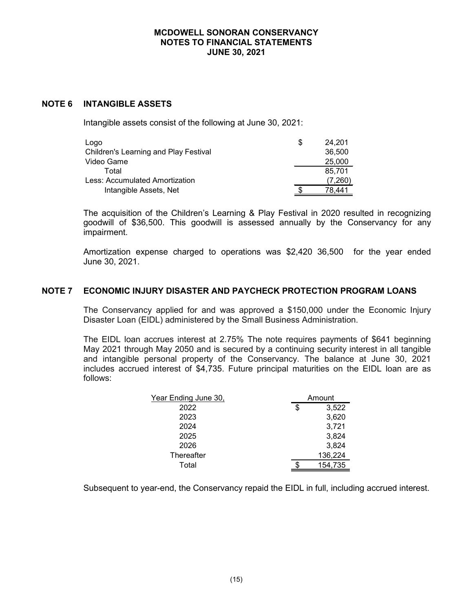# **NOTE 6 INTANGIBLE ASSETS**

Intangible assets consist of the following at June 30, 2021:

| Logo                                  | S | 24.201  |
|---------------------------------------|---|---------|
| Children's Learning and Play Festival |   | 36,500  |
| Video Game                            |   | 25,000  |
| Total                                 |   | 85.701  |
| Less: Accumulated Amortization.       |   | (7,260) |
| Intangible Assets, Net                |   | 78.441  |

The acquisition of the Children's Learning & Play Festival in 2020 resulted in recognizing goodwill of \$36,500. This goodwill is assessed annually by the Conservancy for any impairment.

Amortization expense charged to operations was \$2,420 36,500 for the year ended June 30, 2021.

### **NOTE 7 ECONOMIC INJURY DISASTER AND PAYCHECK PROTECTION PROGRAM LOANS**

The Conservancy applied for and was approved a \$150,000 under the Economic Injury Disaster Loan (EIDL) administered by the Small Business Administration.

The EIDL loan accrues interest at 2.75% The note requires payments of \$641 beginning May 2021 through May 2050 and is secured by a continuing security interest in all tangible and intangible personal property of the Conservancy. The balance at June 30, 2021 includes accrued interest of \$4,735. Future principal maturities on the EIDL loan are as follows:

| Year Ending June 30, |   | Amount  |  |  |
|----------------------|---|---------|--|--|
| 2022                 | S | 3,522   |  |  |
| 2023                 |   | 3,620   |  |  |
| 2024                 |   | 3,721   |  |  |
| 2025                 |   | 3,824   |  |  |
| 2026                 |   | 3,824   |  |  |
| Thereafter           |   | 136,224 |  |  |
| Total                |   | 154.735 |  |  |

Subsequent to year-end, the Conservancy repaid the EIDL in full, including accrued interest.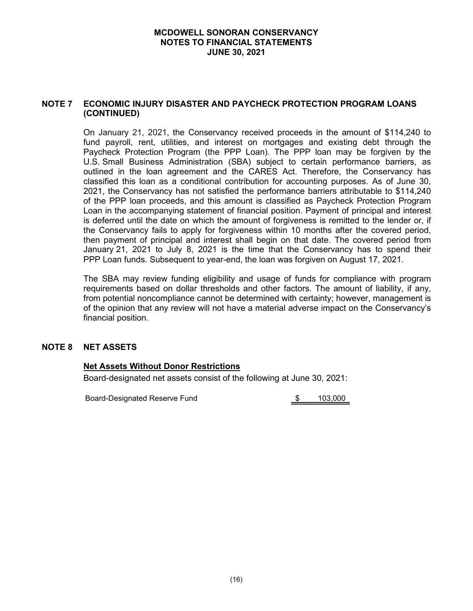# **NOTE 7 ECONOMIC INJURY DISASTER AND PAYCHECK PROTECTION PROGRAM LOANS (CONTINUED)**

On January 21, 2021, the Conservancy received proceeds in the amount of \$114,240 to fund payroll, rent, utilities, and interest on mortgages and existing debt through the Paycheck Protection Program (the PPP Loan). The PPP loan may be forgiven by the U.S. Small Business Administration (SBA) subject to certain performance barriers, as outlined in the loan agreement and the CARES Act. Therefore, the Conservancy has classified this loan as a conditional contribution for accounting purposes. As of June 30, 2021, the Conservancy has not satisfied the performance barriers attributable to \$114,240 of the PPP loan proceeds, and this amount is classified as Paycheck Protection Program Loan in the accompanying statement of financial position. Payment of principal and interest is deferred until the date on which the amount of forgiveness is remitted to the lender or, if the Conservancy fails to apply for forgiveness within 10 months after the covered period, then payment of principal and interest shall begin on that date. The covered period from January 21, 2021 to July 8, 2021 is the time that the Conservancy has to spend their PPP Loan funds. Subsequent to year-end, the loan was forgiven on August 17, 2021.

The SBA may review funding eligibility and usage of funds for compliance with program requirements based on dollar thresholds and other factors. The amount of liability, if any, from potential noncompliance cannot be determined with certainty; however, management is of the opinion that any review will not have a material adverse impact on the Conservancy's financial position.

# **NOTE 8 NET ASSETS**

#### **Net Assets Without Donor Restrictions**

Board-designated net assets consist of the following at June 30, 2021:

Board-Designated Reserve Fund  $$$  103,000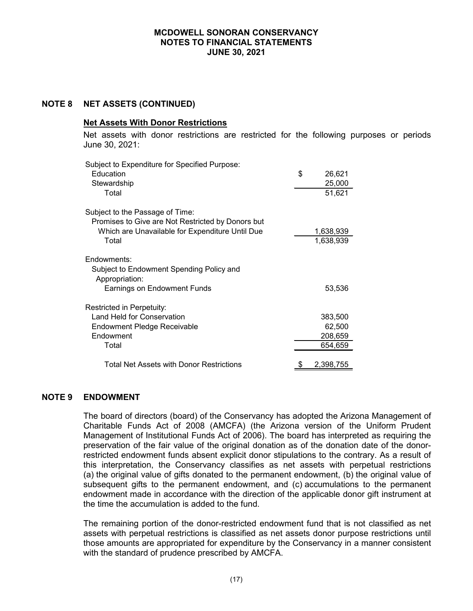#### **NOTE 8 NET ASSETS (CONTINUED)**

#### **Net Assets With Donor Restrictions**

Net assets with donor restrictions are restricted for the following purposes or periods June 30, 2021:

| Subject to Expenditure for Specified Purpose:                                                                                           |              |
|-----------------------------------------------------------------------------------------------------------------------------------------|--------------|
| Education                                                                                                                               | \$<br>26,621 |
| Stewardship                                                                                                                             | 25,000       |
| Total                                                                                                                                   | 51,621       |
| Subject to the Passage of Time:<br>Promises to Give are Not Restricted by Donors but<br>Which are Unavailable for Expenditure Until Due | 1,638,939    |
| Total                                                                                                                                   | 1,638,939    |
| Endowments:<br>Subject to Endowment Spending Policy and                                                                                 |              |
| Appropriation:<br><b>Earnings on Endowment Funds</b>                                                                                    | 53,536       |
| Restricted in Perpetuity:                                                                                                               |              |
| <b>Land Held for Conservation</b>                                                                                                       | 383,500      |
| Endowment Pledge Receivable                                                                                                             | 62,500       |
| Endowment                                                                                                                               | 208,659      |
| Total                                                                                                                                   | 654,659      |
| Total Net Assets with Donor Restrictions                                                                                                | 2,398,755    |

# **NOTE 9 ENDOWMENT**

The board of directors (board) of the Conservancy has adopted the Arizona Management of Charitable Funds Act of 2008 (AMCFA) (the Arizona version of the Uniform Prudent Management of Institutional Funds Act of 2006). The board has interpreted as requiring the preservation of the fair value of the original donation as of the donation date of the donorrestricted endowment funds absent explicit donor stipulations to the contrary. As a result of this interpretation, the Conservancy classifies as net assets with perpetual restrictions (a) the original value of gifts donated to the permanent endowment, (b) the original value of subsequent gifts to the permanent endowment, and (c) accumulations to the permanent endowment made in accordance with the direction of the applicable donor gift instrument at the time the accumulation is added to the fund.

The remaining portion of the donor-restricted endowment fund that is not classified as net assets with perpetual restrictions is classified as net assets donor purpose restrictions until those amounts are appropriated for expenditure by the Conservancy in a manner consistent with the standard of prudence prescribed by AMCFA.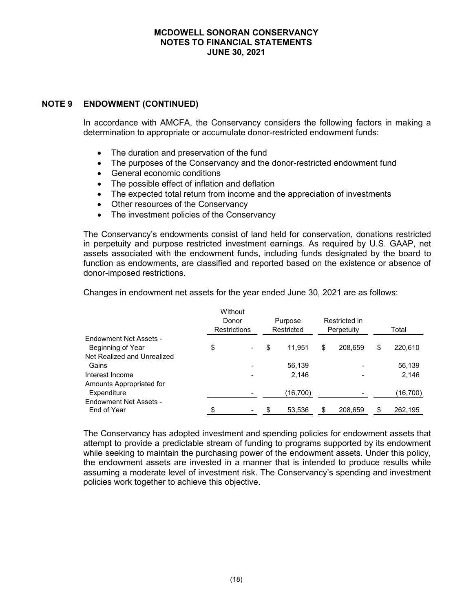# **NOTE 9 ENDOWMENT (CONTINUED)**

In accordance with AMCFA, the Conservancy considers the following factors in making a determination to appropriate or accumulate donor-restricted endowment funds:

- The duration and preservation of the fund
- The purposes of the Conservancy and the donor-restricted endowment fund
- General economic conditions
- The possible effect of inflation and deflation
- The expected total return from income and the appreciation of investments
- Other resources of the Conservancy
- The investment policies of the Conservancy

The Conservancy's endowments consist of land held for conservation, donations restricted in perpetuity and purpose restricted investment earnings. As required by U.S. GAAP, net assets associated with the endowment funds, including funds designated by the board to function as endowments, are classified and reported based on the existence or absence of donor-imposed restrictions.

|                             | Without<br>Donor<br>Purpose<br><b>Restrictions</b><br>Restricted |    | Restricted in<br>Perpetuity |    | Total   |    |           |
|-----------------------------|------------------------------------------------------------------|----|-----------------------------|----|---------|----|-----------|
| Endowment Net Assets -      |                                                                  |    |                             |    |         |    |           |
| Beginning of Year           | \$                                                               | \$ | 11.951                      | \$ | 208.659 | \$ | 220,610   |
| Net Realized and Unrealized |                                                                  |    |                             |    |         |    |           |
| Gains                       |                                                                  |    | 56,139                      |    |         |    | 56,139    |
| Interest Income             |                                                                  |    | 2.146                       |    |         |    | 2.146     |
| Amounts Appropriated for    |                                                                  |    |                             |    |         |    |           |
| Expenditure                 |                                                                  |    | (16, 700)                   |    |         |    | (16, 700) |
| Endowment Net Assets -      |                                                                  |    |                             |    |         |    |           |
| End of Year                 | \$                                                               | \$ | 53,536                      | \$ | 208,659 | \$ | 262,195   |

Changes in endowment net assets for the year ended June 30, 2021 are as follows:

The Conservancy has adopted investment and spending policies for endowment assets that attempt to provide a predictable stream of funding to programs supported by its endowment while seeking to maintain the purchasing power of the endowment assets. Under this policy, the endowment assets are invested in a manner that is intended to produce results while assuming a moderate level of investment risk. The Conservancy's spending and investment policies work together to achieve this objective.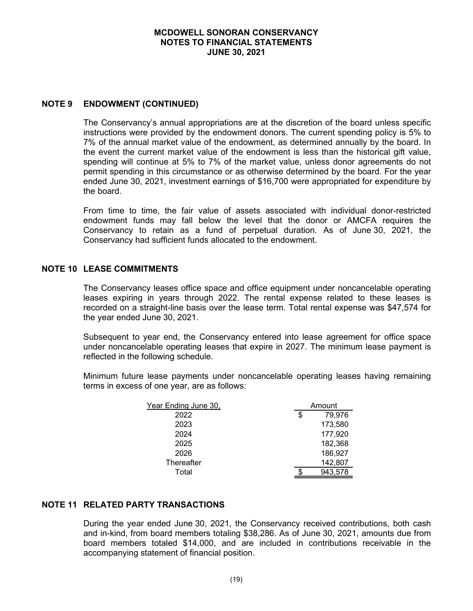### **NOTE 9 ENDOWMENT (CONTINUED)**

The Conservancy's annual appropriations are at the discretion of the board unless specific instructions were provided by the endowment donors. The current spending policy is 5% to 7% of the annual market value of the endowment, as determined annually by the board. In the event the current market value of the endowment is less than the historical gift value, spending will continue at 5% to 7% of the market value, unless donor agreements do not permit spending in this circumstance or as otherwise determined by the board. For the year ended June 30, 2021, investment earnings of \$16,700 were appropriated for expenditure by the board.

From time to time, the fair value of assets associated with individual donor-restricted endowment funds may fall below the level that the donor or AMCFA requires the Conservancy to retain as a fund of perpetual duration. As of June 30, 2021, the Conservancy had sufficient funds allocated to the endowment.

### **NOTE 10 LEASE COMMITMENTS**

The Conservancy leases office space and office equipment under noncancelable operating leases expiring in years through 2022. The rental expense related to these leases is recorded on a straight-line basis over the lease term. Total rental expense was \$47,574 for the year ended June 30, 2021.

Subsequent to year end, the Conservancy entered into lease agreement for office space under noncancelable operating leases that expire in 2027. The minimum lease payment is reflected in the following schedule.

Minimum future lease payments under noncancelable operating leases having remaining terms in excess of one year, are as follows:

| Year Ending June 30, |   | Amount  |  |  |
|----------------------|---|---------|--|--|
| 2022                 | S | 79,976  |  |  |
| 2023                 |   | 173,580 |  |  |
| 2024                 |   | 177,920 |  |  |
| 2025                 |   | 182,368 |  |  |
| 2026                 |   | 186,927 |  |  |
| Thereafter           |   | 142,807 |  |  |
| Total                |   | 943,578 |  |  |

# **NOTE 11 RELATED PARTY TRANSACTIONS**

During the year ended June 30, 2021, the Conservancy received contributions, both cash and in-kind, from board members totaling \$38,286. As of June 30, 2021, amounts due from board members totaled \$14,000, and are included in contributions receivable in the accompanying statement of financial position.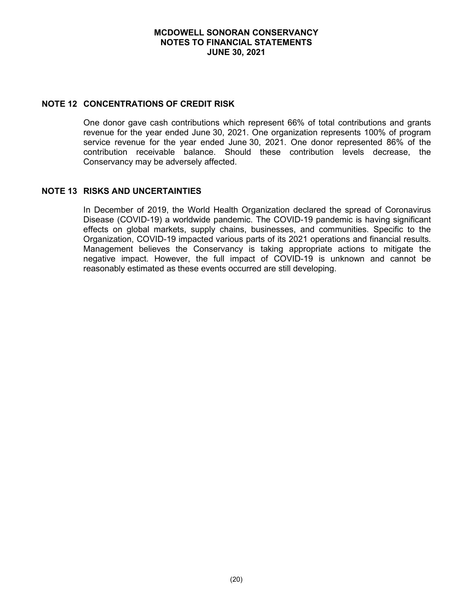### **NOTE 12 CONCENTRATIONS OF CREDIT RISK**

One donor gave cash contributions which represent 66% of total contributions and grants revenue for the year ended June 30, 2021. One organization represents 100% of program service revenue for the year ended June 30, 2021. One donor represented 86% of the contribution receivable balance. Should these contribution levels decrease, the Conservancy may be adversely affected.

### **NOTE 13 RISKS AND UNCERTAINTIES**

In December of 2019, the World Health Organization declared the spread of Coronavirus Disease (COVID-19) a worldwide pandemic. The COVID-19 pandemic is having significant effects on global markets, supply chains, businesses, and communities. Specific to the Organization, COVID-19 impacted various parts of its 2021 operations and financial results. Management believes the Conservancy is taking appropriate actions to mitigate the negative impact. However, the full impact of COVID-19 is unknown and cannot be reasonably estimated as these events occurred are still developing.